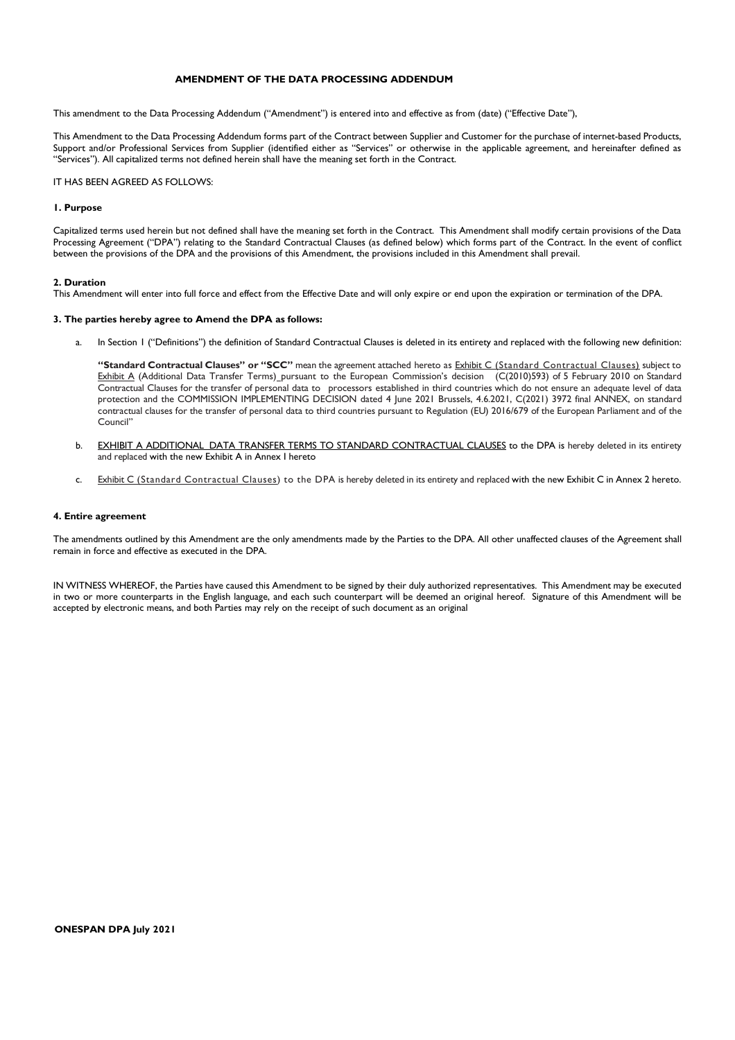## **AMENDMENT OF THE DATA PROCESSING ADDENDUM**

This amendment to the Data Processing Addendum ("Amendment") is entered into and effective as from (date) ("Effective Date"),

This Amendment to the Data Processing Addendum forms part of the Contract between Supplier and Customer for the purchase of internet-based Products, Support and/or Professional Services from Supplier (identified either as "Services" or otherwise in the applicable agreement, and hereinafter defined as "Services"). All capitalized terms not defined herein shall have the meaning set forth in the Contract.

## IT HAS BEEN AGREED AS FOLLOWS:

## **1. Purpose**

Capitalized terms used herein but not defined shall have the meaning set forth in the Contract. This Amendment shall modify certain provisions of the Data Processing Agreement ("DPA") relating to the Standard Contractual Clauses (as defined below) which forms part of the Contract. In the event of conflict between the provisions of the DPA and the provisions of this Amendment, the provisions included in this Amendment shall prevail.

#### **2. Duration**

This Amendment will enter into full force and effect from the Effective Date and will only expire or end upon the expiration or termination of the DPA.

## **3. The parties hereby agree to Amend the DPA as follows:**

a. In Section 1 ("Definitions") the definition of Standard Contractual Clauses is deleted in its entirety and replaced with the following new definition:

**"Standard Contractual Clauses" or "SCC"** mean the agreement attached hereto as Exhibit C (Standard Contractual Clauses) subject to Exhibit A (Additional Data Transfer Terms) pursuant to the European Commission's decision (C(2010)593) of 5 February 2010 on Standard Contractual Clauses for the transfer of personal data to processors established in third countries which do not ensure an adequate level of data protection and the COMMISSION IMPLEMENTING DECISION dated 4 June 2021 Brussels, 4.6.2021, C(2021) 3972 final ANNEX, on standard contractual clauses for the transfer of personal data to third countries pursuant to Regulation (EU) 2016/679 of the European Parliament and of the Council"

- b. **EXHIBIT A ADDITIONAL DATA TRANSFER TERMS TO STANDARD CONTRACTUAL CLAUSES** to the DPA is hereby deleted in its entirety and replaced with the new Exhibit A in Annex I hereto
- c. Exhibit C (Standard Contractual Clauses) to the DPA is hereby deleted in its entirety and replaced with the new Exhibit C in Annex 2 hereto.

### **4. Entire agreement**

The amendments outlined by this Amendment are the only amendments made by the Parties to the DPA. All other unaffected clauses of the Agreement shall remain in force and effective as executed in the DPA.

IN WITNESS WHEREOF, the Parties have caused this Amendment to be signed by their duly authorized representatives. This Amendment may be executed in two or more counterparts in the English language, and each such counterpart will be deemed an original hereof. Signature of this Amendment will be accepted by electronic means, and both Parties may rely on the receipt of such document as an original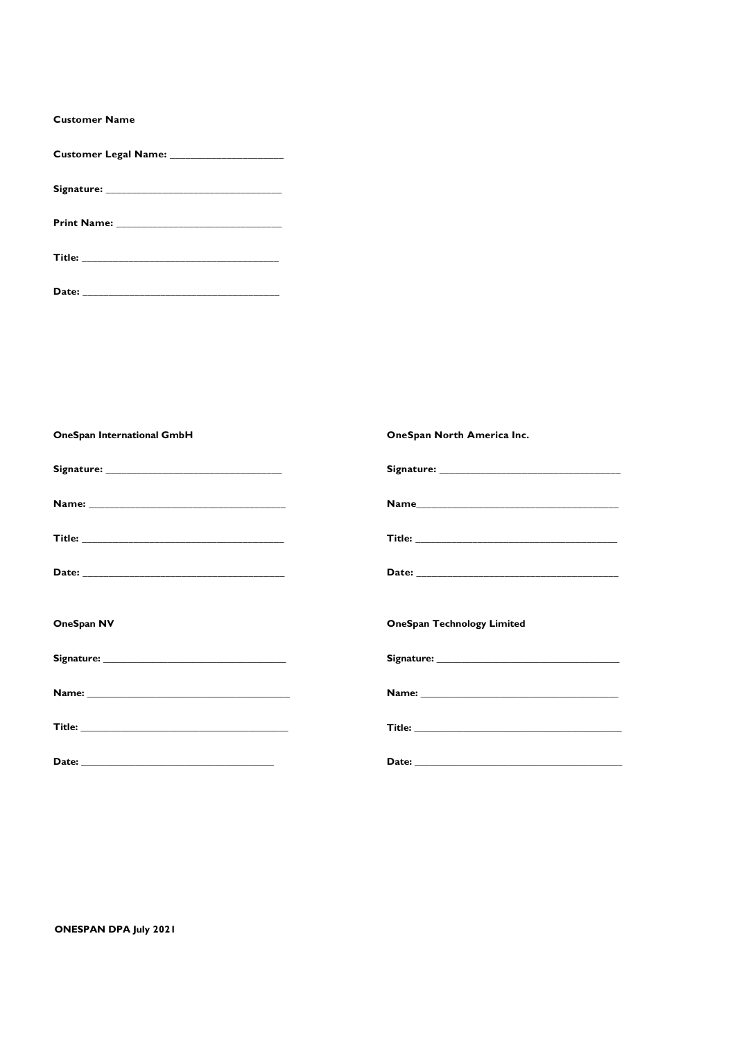| <b>Customer Name</b> |  |
|----------------------|--|
|----------------------|--|

| Customer Legal Name: _______________________ |
|----------------------------------------------|
|                                              |
|                                              |
|                                              |
|                                              |

| <b>OneSpan International GmbH</b>                                                                                                                                                                                                                                                                                                                                                                                                                                             | OneSpan North America Inc.        |
|-------------------------------------------------------------------------------------------------------------------------------------------------------------------------------------------------------------------------------------------------------------------------------------------------------------------------------------------------------------------------------------------------------------------------------------------------------------------------------|-----------------------------------|
|                                                                                                                                                                                                                                                                                                                                                                                                                                                                               |                                   |
|                                                                                                                                                                                                                                                                                                                                                                                                                                                                               |                                   |
|                                                                                                                                                                                                                                                                                                                                                                                                                                                                               |                                   |
|                                                                                                                                                                                                                                                                                                                                                                                                                                                                               |                                   |
| OneSpan NV                                                                                                                                                                                                                                                                                                                                                                                                                                                                    | <b>OneSpan Technology Limited</b> |
|                                                                                                                                                                                                                                                                                                                                                                                                                                                                               |                                   |
|                                                                                                                                                                                                                                                                                                                                                                                                                                                                               |                                   |
|                                                                                                                                                                                                                                                                                                                                                                                                                                                                               |                                   |
| ${\small \textsf{Date:}} \begin{tabular}{ c c c c } \hline \multicolumn{3}{ c }{\textsf{Date:}} & \multicolumn{3}{ c }{\textsf{Date:}} \\ \hline \multicolumn{3}{ c }{\textsf{Date:}} & \multicolumn{3}{ c }{\textsf{Date:}} \\ \hline \multicolumn{3}{ c }{\textsf{Date:}} & \multicolumn{3}{ c }{\textsf{Date:}} \\ \hline \multicolumn{3}{ c }{\textsf{Date:}} & \multicolumn{3}{ c }{\textsf{Date:}} \\ \hline \multicolumn{3}{ c }{\textsf{Date:}} & \multicolumn{3}{ c$ |                                   |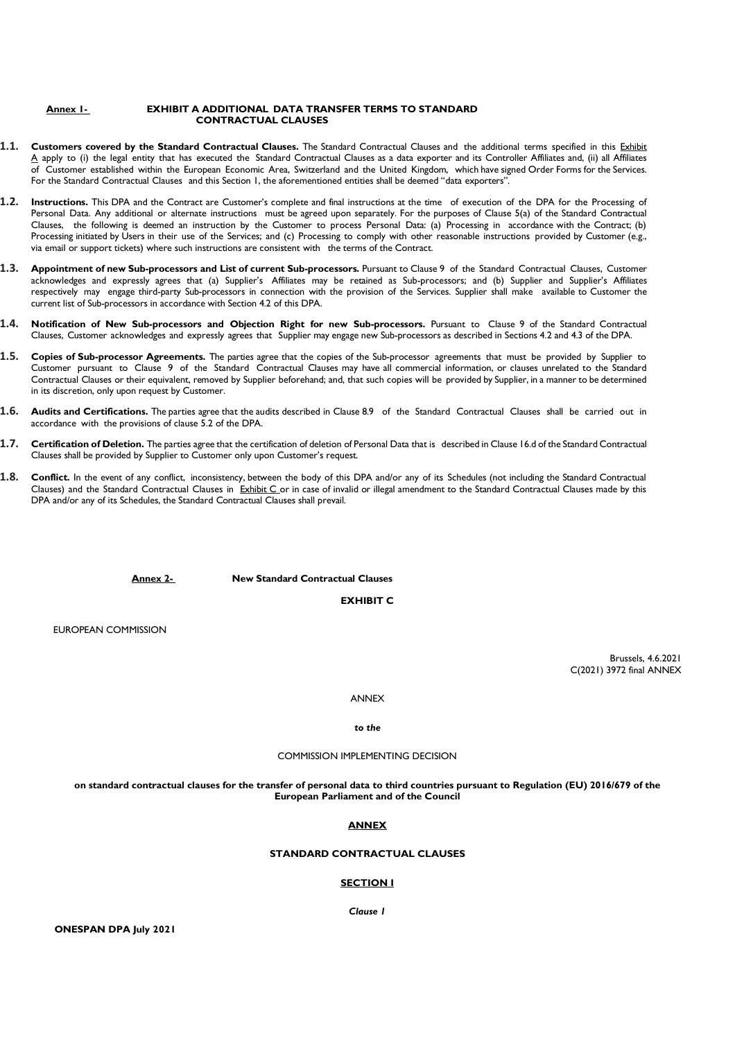#### **Annex 1- EXHIBIT A ADDITIONAL DATA TRANSFER TERMS TO STANDARD CONTRACTUAL CLAUSES**

- **1.1. Customers covered by the Standard Contractual Clauses.** The Standard Contractual Clauses and the additional terms specified in this Exhibit A apply to (i) the legal entity that has executed the Standard Contractual Clauses as a data exporter and its Controller Affiliates and, (ii) all Affiliates of Customer established within the European Economic Area, Switzerland and the United Kingdom, which have signed Order Forms for the Services. For the Standard Contractual Clauses and this Section 1, the aforementioned entities shall be deemed "data exporters".
- **1.2. Instructions.** This DPA and the Contract are Customer's complete and final instructions at the time of execution of the DPA for the Processing of Personal Data. Any additional or alternate instructions must be agreed upon separately. For the purposes of Clause 5(a) of the Standard Contractual Clauses, the following is deemed an instruction by the Customer to process Personal Data: (a) Processing in accordance with the Contract; (b) Processing initiated by Users in their use of the Services; and (c) Processing to comply with other reasonable instructions provided by Customer (e.g., via email or support tickets) where such instructions are consistent with the terms of the Contract.
- **1.3. Appointment of new Sub-processors and List of current Sub-processors.** Pursuant to Clause 9 of the Standard Contractual Clauses, Customer acknowledges and expressly agrees that (a) Supplier's Affiliates may be retained as Sub-processors; and (b) Supplier and Supplier's Affiliates respectively may engage third-party Sub-processors in connection with the provision of the Services. Supplier shall make available to Customer the current list of Sub-processors in accordance with Section 4.2 of this DPA.
- **1.4. Notification of New Sub-processors and Objection Right for new Sub-processors.** Pursuant to Clause 9 of the Standard Contractual Clauses, Customer acknowledges and expressly agrees that Supplier may engage new Sub-processors as described in Sections 4.2 and 4.3 of the DPA.
- **1.5. Copies of Sub-processor Agreements.** The parties agree that the copies of the Sub-processor agreements that must be provided by Supplier to Customer pursuant to Clause 9 of the Standard Contractual Clauses may have all commercial information, or clauses unrelated to the Standard Contractual Clauses or their equivalent, removed by Supplier beforehand; and, that such copies will be provided by Supplier, in a manner to be determined in its discretion, only upon request by Customer.
- **1.6. Audits and Certifications.** The parties agree that the audits described in Clause 8.9 of the Standard Contractual Clauses shall be carried out in accordance with the provisions of clause 5.2 of the DPA.
- **1.7. Certification of Deletion.** The parties agree that the certification of deletion of Personal Data that is described in Clause 16.d of the Standard Contractual Clauses shall be provided by Supplier to Customer only upon Customer's request.
- **1.8. Conflict.** In the event of any conflict, inconsistency, between the body of this DPA and/or any of its Schedules (not including the Standard Contractual Clauses) and the Standard Contractual Clauses in Exhibit C or in case of invalid or illegal amendment to the Standard Contractual Clauses made by this DPA and/or any of its Schedules, the Standard Contractual Clauses shall prevail.

**Annex 2- New Standard Contractual Clauses**

**EXHIBIT C**

EUROPEAN COMMISSION

Brussels, 4.6.2021 C(2021) 3972 final ANNEX

ANNEX

*to the*

## COMMISSION IMPLEMENTING DECISION

**on standard contractual clauses for the transfer of personal data to third countries pursuant to Regulation (EU) 2016/679 of the European Parliament and of the Council**

## **ANNEX**

## **STANDARD CONTRACTUAL CLAUSES**

## **SECTION I**

## *Clause 1*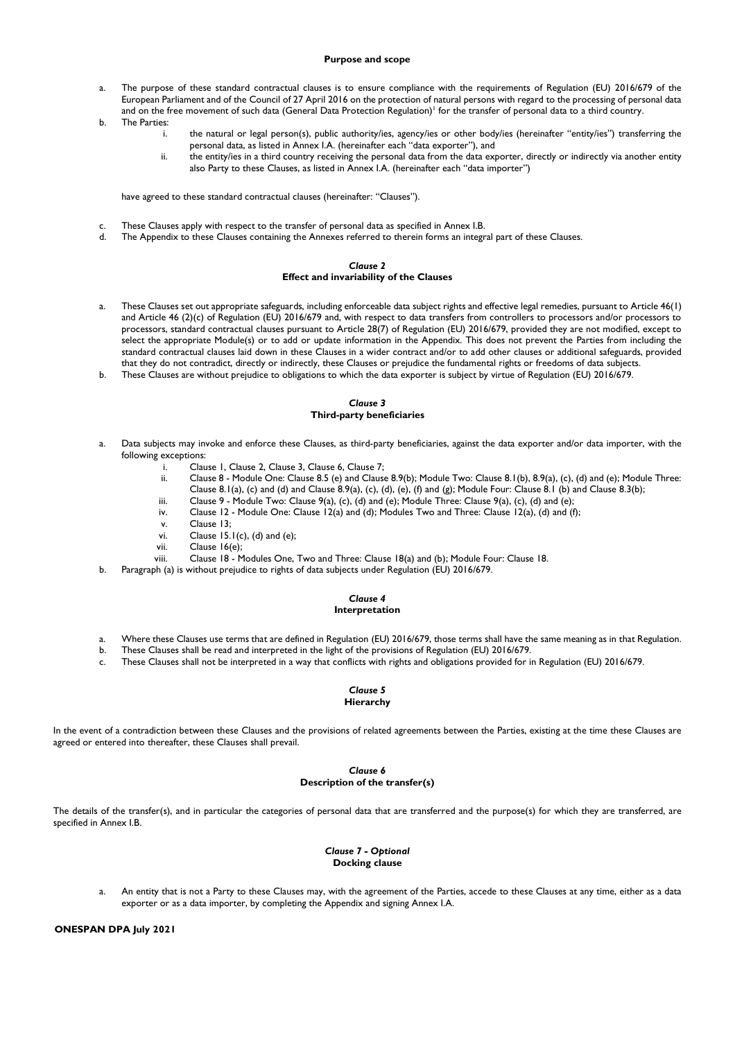#### **Purpose and scope**

- a. The purpose of these standard contractual clauses is to ensure compliance with the requirements of Regulation (EU) 2016/679 of the European Parliament and of the Council of 27 April 2016 on the protection of natural persons with regard to the processing of personal data and on the free movement of such data (General Data Protection Regulation)<sup>1</sup> for the transfer of personal data to a third country.
- b. The Parties:
	- i. the natural or legal person(s), public authority/ies, agency/ies or other body/ies (hereinafter "entity/ies") transferring the personal data, as listed in Annex I.A. (hereinafter each "data exporter"), and
	- ii. the entity/ies in a third country receiving the personal data from the data exporter, directly or indirectly via another entity also Party to these Clauses, as listed in Annex I.A. (hereinafter each "data importer")

have agreed to these standard contractual clauses (hereinafter: "Clauses").

- c. These Clauses apply with respect to the transfer of personal data as specified in Annex I.B.
- d. The Appendix to these Clauses containing the Annexes referred to therein forms an integral part of these Clauses.

### *Clause 2* **Effect and invariability of the Clauses**

- a. These Clauses set out appropriate safeguards, including enforceable data subject rights and effective legal remedies, pursuant to Article 46(1) and Article 46 (2)(c) of Regulation (EU) 2016/679 and, with respect to data transfers from controllers to processors and/or processors to processors, standard contractual clauses pursuant to Article 28(7) of Regulation (EU) 2016/679, provided they are not modified, except to select the appropriate Module(s) or to add or update information in the Appendix. This does not prevent the Parties from including the standard contractual clauses laid down in these Clauses in a wider contract and/or to add other clauses or additional safeguards, provided that they do not contradict, directly or indirectly, these Clauses or prejudice the fundamental rights or freedoms of data subjects.
- b. These Clauses are without prejudice to obligations to which the data exporter is subject by virtue of Regulation (EU) 2016/679.

## *Clause 3*

#### **Third-party beneficiaries**

- a. Data subjects may invoke and enforce these Clauses, as third-party beneficiaries, against the data exporter and/or data importer, with the following exceptions:
	- i. Clause 1, Clause 2, Clause 3, Clause 6, Clause 7;<br>ii. Clause 8 Module One: Clause 8.5 (e) and Clause
	- Clause 8 Module One: Clause 8.5 (e) and Clause 8.9(b); Module Two: Clause 8.1(b), 8.9(a), (c), (d) and (e); Module Three: Clause 8.1(a), (c) and (d) and Clause 8.9(a), (c), (d), (e), (f) and (g); Module Four: Clause 8.1 (b) and Clause 8.3(b);
	- iii. Clause 9 Module Two: Clause 9(a), (c), (d) and (e); Module Three: Clause 9(a), (c), (d) and (e);
	- iv. Clause 12 Module One: Clause 12(a) and (d); Modules Two and Three: Clause 12(a), (d) and (f);
	- v. Clause 13;
	- vi. Clause  $15.1(c)$ ,  $(d)$  and  $(e)$ ;<br>vii. Clause  $16(e)$ :
	- Clause  $16(e)$ ;
	- viii. Clause 18 Modules One, Two and Three: Clause 18(a) and (b); Module Four: Clause 18.
- b. Paragraph (a) is without prejudice to rights of data subjects under Regulation (EU) 2016/679.

#### *Clause 4* **Interpretation**

- a. Where these Clauses use terms that are defined in Regulation (EU) 2016/679, those terms shall have the same meaning as in that Regulation.
- b. These Clauses shall be read and interpreted in the light of the provisions of Regulation (EU) 2016/679.
- c. These Clauses shall not be interpreted in a way that conflicts with rights and obligations provided for in Regulation (EU) 2016/679.

## *Clause 5*

## **Hierarchy**

In the event of a contradiction between these Clauses and the provisions of related agreements between the Parties, existing at the time these Clauses are agreed or entered into thereafter, these Clauses shall prevail.

#### *Clause 6* **Description of the transfer(s)**

The details of the transfer(s), and in particular the categories of personal data that are transferred and the purpose(s) for which they are transferred, are specified in Annex I.B.

#### *Clause 7 - Optional* **Docking clause**

An entity that is not a Party to these Clauses may, with the agreement of the Parties, accede to these Clauses at any time, either as a data exporter or as a data importer, by completing the Appendix and signing Annex I.A.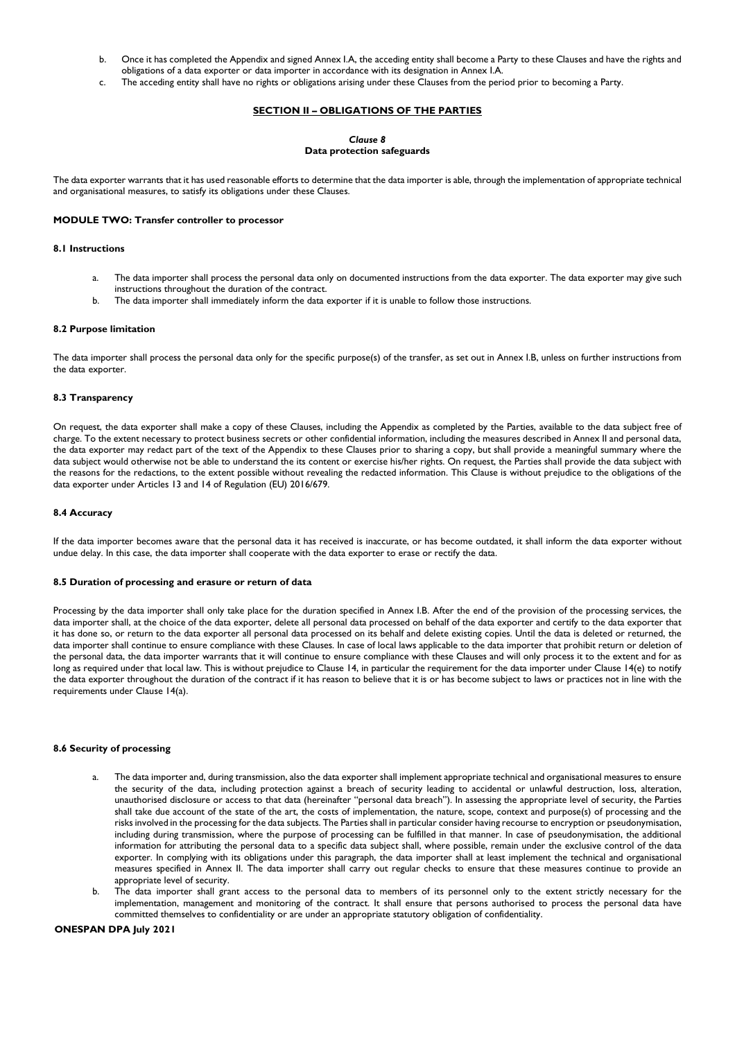- b. Once it has completed the Appendix and signed Annex I.A, the acceding entity shall become a Party to these Clauses and have the rights and obligations of a data exporter or data importer in accordance with its designation in Annex I.A.
- c. The acceding entity shall have no rights or obligations arising under these Clauses from the period prior to becoming a Party.

## **SECTION II – OBLIGATIONS OF THE PARTIES**

## *Clause 8*

#### **Data protection safeguards**

The data exporter warrants that it has used reasonable efforts to determine that the data importer is able, through the implementation of appropriate technical and organisational measures, to satisfy its obligations under these Clauses.

#### **MODULE TWO: Transfer controller to processor**

## **8.1 Instructions**

- a. The data importer shall process the personal data only on documented instructions from the data exporter. The data exporter may give such instructions throughout the duration of the contract.
- b. The data importer shall immediately inform the data exporter if it is unable to follow those instructions.

#### **8.2 Purpose limitation**

The data importer shall process the personal data only for the specific purpose(s) of the transfer, as set out in Annex I.B, unless on further instructions from the data exporter.

#### **8.3 Transparency**

On request, the data exporter shall make a copy of these Clauses, including the Appendix as completed by the Parties, available to the data subject free of charge. To the extent necessary to protect business secrets or other confidential information, including the measures described in Annex II and personal data, the data exporter may redact part of the text of the Appendix to these Clauses prior to sharing a copy, but shall provide a meaningful summary where the data subject would otherwise not be able to understand the its content or exercise his/her rights. On request, the Parties shall provide the data subject with the reasons for the redactions, to the extent possible without revealing the redacted information. This Clause is without prejudice to the obligations of the data exporter under Articles 13 and 14 of Regulation (EU) 2016/679.

#### **8.4 Accuracy**

If the data importer becomes aware that the personal data it has received is inaccurate, or has become outdated, it shall inform the data exporter without undue delay. In this case, the data importer shall cooperate with the data exporter to erase or rectify the data.

#### **8.5 Duration of processing and erasure or return of data**

Processing by the data importer shall only take place for the duration specified in Annex I.B. After the end of the provision of the processing services, the data importer shall, at the choice of the data exporter, delete all personal data processed on behalf of the data exporter and certify to the data exporter that it has done so, or return to the data exporter all personal data processed on its behalf and delete existing copies. Until the data is deleted or returned, the data importer shall continue to ensure compliance with these Clauses. In case of local laws applicable to the data importer that prohibit return or deletion of the personal data, the data importer warrants that it will continue to ensure compliance with these Clauses and will only process it to the extent and for as long as required under that local law. This is without prejudice to Clause 14, in particular the requirement for the data importer under Clause 14(e) to notify the data exporter throughout the duration of the contract if it has reason to believe that it is or has become subject to laws or practices not in line with the requirements under Clause 14(a).

#### **8.6 Security of processing**

- a. The data importer and, during transmission, also the data exporter shall implement appropriate technical and organisational measures to ensure the security of the data, including protection against a breach of security leading to accidental or unlawful destruction, loss, alteration, unauthorised disclosure or access to that data (hereinafter "personal data breach"). In assessing the appropriate level of security, the Parties shall take due account of the state of the art, the costs of implementation, the nature, scope, context and purpose(s) of processing and the risks involved in the processing for the data subjects. The Parties shall in particular consider having recourse to encryption or pseudonymisation, including during transmission, where the purpose of processing can be fulfilled in that manner. In case of pseudonymisation, the additional information for attributing the personal data to a specific data subject shall, where possible, remain under the exclusive control of the data exporter. In complying with its obligations under this paragraph, the data importer shall at least implement the technical and organisational measures specified in Annex II. The data importer shall carry out regular checks to ensure that these measures continue to provide an appropriate level of security.
- b. The data importer shall grant access to the personal data to members of its personnel only to the extent strictly necessary for the implementation, management and monitoring of the contract. It shall ensure that persons authorised to process the personal data have committed themselves to confidentiality or are under an appropriate statutory obligation of confidentiality.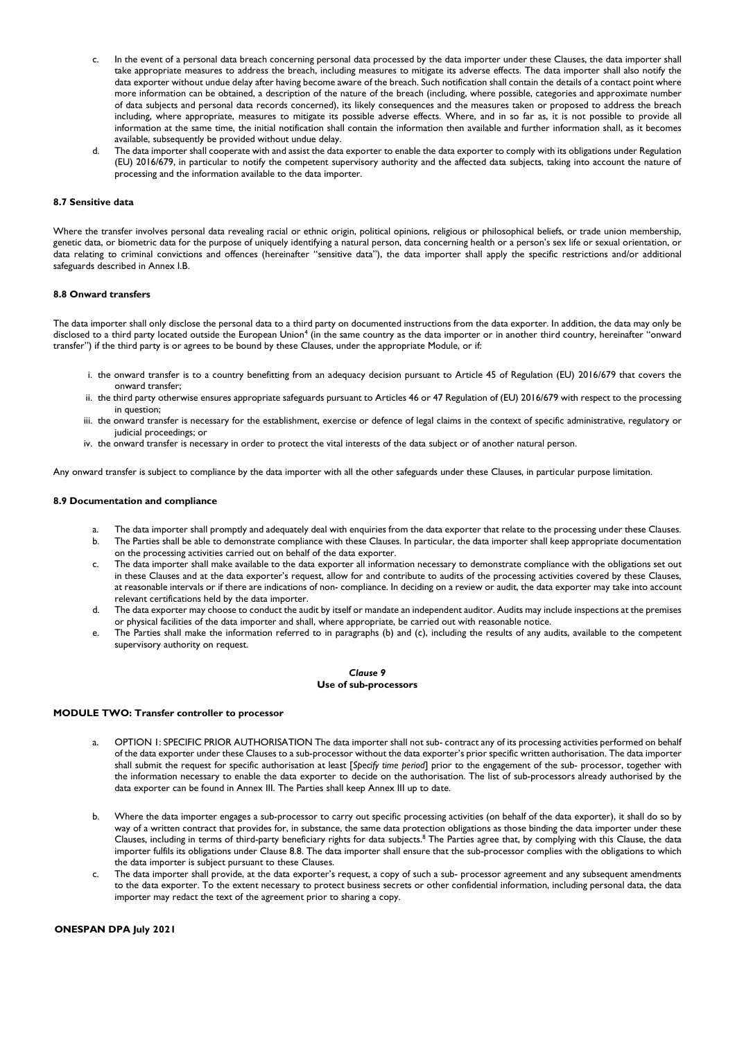- In the event of a personal data breach concerning personal data processed by the data importer under these Clauses, the data importer shall take appropriate measures to address the breach, including measures to mitigate its adverse effects. The data importer shall also notify the data exporter without undue delay after having become aware of the breach. Such notification shall contain the details of a contact point where more information can be obtained, a description of the nature of the breach (including, where possible, categories and approximate number of data subjects and personal data records concerned), its likely consequences and the measures taken or proposed to address the breach including, where appropriate, measures to mitigate its possible adverse effects. Where, and in so far as, it is not possible to provide all information at the same time, the initial notification shall contain the information then available and further information shall, as it becomes available, subsequently be provided without undue delay.
- d. The data importer shall cooperate with and assist the data exporter to enable the data exporter to comply with its obligations under Regulation (EU) 2016/679, in particular to notify the competent supervisory authority and the affected data subjects, taking into account the nature of processing and the information available to the data importer.

## **8.7 Sensitive data**

Where the transfer involves personal data revealing racial or ethnic origin, political opinions, religious or philosophical beliefs, or trade union membership, genetic data, or biometric data for the purpose of uniquely identifying a natural person, data concerning health or a person's sex life or sexual orientation, or data relating to criminal convictions and offences (hereinafter "sensitive data"), the data importer shall apply the specific restrictions and/or additional safeguards described in Annex I.B.

#### **8.8 Onward transfers**

The data importer shall only disclose the personal data to a third party on documented instructions from the data exporter. In addition, the data may only be disclosed to a third party located outside the European Union<sup>4</sup> (in the same country as the data importer or in another third country, hereinafter "onward transfer") if the third party is or agrees to be bound by these Clauses, under the appropriate Module, or if:

- i. the onward transfer is to a country benefitting from an adequacy decision pursuant to Article 45 of Regulation (EU) 2016/679 that covers the onward transfer;
- ii. the third party otherwise ensures appropriate safeguards pursuant to Articles 46 or 47 Regulation of (EU) 2016/679 with respect to the processing in question;
- iii. the onward transfer is necessary for the establishment, exercise or defence of legal claims in the context of specific administrative, regulatory or judicial proceedings; or
- iv. the onward transfer is necessary in order to protect the vital interests of the data subject or of another natural person.

Any onward transfer is subject to compliance by the data importer with all the other safeguards under these Clauses, in particular purpose limitation.

#### **8.9 Documentation and compliance**

- a. The data importer shall promptly and adequately deal with enquiries from the data exporter that relate to the processing under these Clauses.<br>h The Parties shall be able to demonstrate compliance with these Clauses, In
- The Parties shall be able to demonstrate compliance with these Clauses. In particular, the data importer shall keep appropriate documentation on the processing activities carried out on behalf of the data exporter.
- c. The data importer shall make available to the data exporter all information necessary to demonstrate compliance with the obligations set out in these Clauses and at the data exporter's request, allow for and contribute to audits of the processing activities covered by these Clauses, at reasonable intervals or if there are indications of non- compliance. In deciding on a review or audit, the data exporter may take into account relevant certifications held by the data importer.
- d. The data exporter may choose to conduct the audit by itself or mandate an independent auditor. Audits may include inspections at the premises or physical facilities of the data importer and shall, where appropriate, be carried out with reasonable notice.
- e. The Parties shall make the information referred to in paragraphs (b) and (c), including the results of any audits, available to the competent supervisory authority on request.

## *Clause 9* **Use of sub-processors**

#### **MODULE TWO: Transfer controller to processor**

- a. OPTION 1: SPECIFIC PRIOR AUTHORISATION The data importer shall not sub- contract any of its processing activities performed on behalf of the data exporter under these Clauses to a sub-processor without the data exporter's prior specific written authorisation. The data importer shall submit the request for specific authorisation at least [*Specify time period*] prior to the engagement of the sub- processor, together with the information necessary to enable the data exporter to decide on the authorisation. The list of sub-processors already authorised by the data exporter can be found in Annex III. The Parties shall keep Annex III up to date.
- b. Where the data importer engages a sub-processor to carry out specific processing activities (on behalf of the data exporter), it shall do so by way of a written contract that provides for, in substance, the same data protection obligations as those binding the data importer under these Clauses, including in terms of third-party beneficiary rights for data subjects.<sup>8</sup> The Parties agree that, by complying with this Clause, the data importer fulfils its obligations under Clause 8.8. The data importer shall ensure that the sub-processor complies with the obligations to which the data importer is subject pursuant to these Clauses.
- The data importer shall provide, at the data exporter's request, a copy of such a sub- processor agreement and any subsequent amendments to the data exporter. To the extent necessary to protect business secrets or other confidential information, including personal data, the data importer may redact the text of the agreement prior to sharing a copy.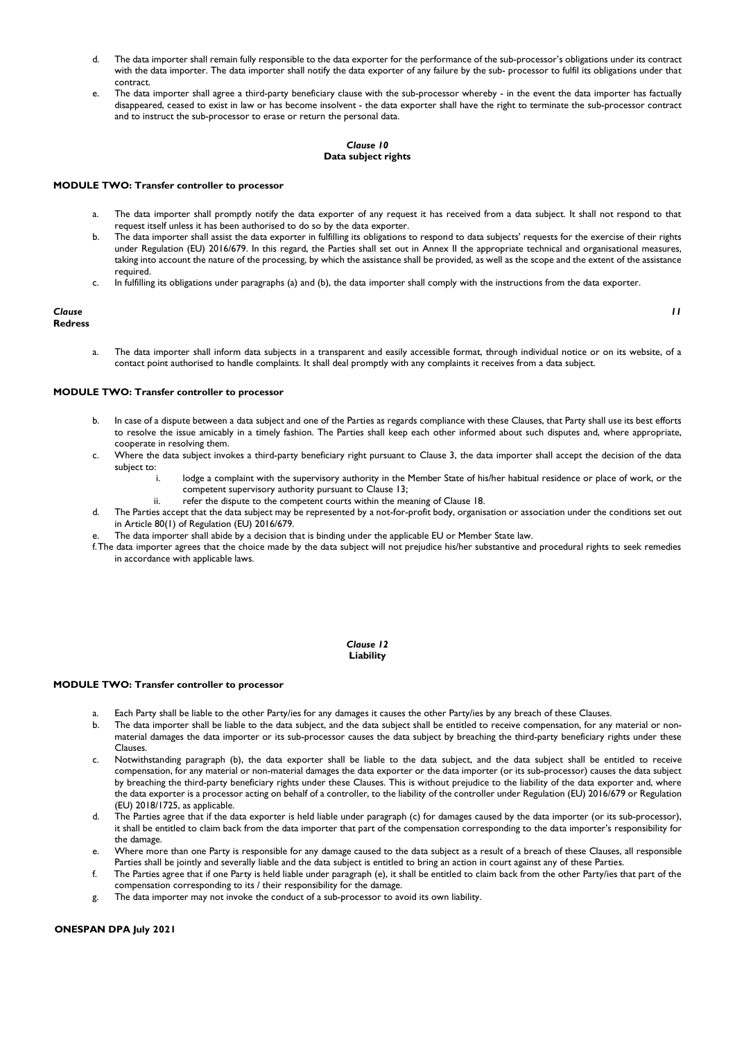- d. The data importer shall remain fully responsible to the data exporter for the performance of the sub-processor's obligations under its contract with the data importer. The data importer shall notify the data exporter of any failure by the sub- processor to fulfil its obligations under that contract.
- e. The data importer shall agree a third-party beneficiary clause with the sub-processor whereby in the event the data importer has factually disappeared, ceased to exist in law or has become insolvent - the data exporter shall have the right to terminate the sub-processor contract and to instruct the sub-processor to erase or return the personal data.

## *Clause 10* **Data subject rights**

## **MODULE TWO: Transfer controller to processor**

- a. The data importer shall promptly notify the data exporter of any request it has received from a data subject. It shall not respond to that request itself unless it has been authorised to do so by the data exporter.
- b. The data importer shall assist the data exporter in fulfilling its obligations to respond to data subjects' requests for the exercise of their rights under Regulation (EU) 2016/679. In this regard, the Parties shall set out in Annex II the appropriate technical and organisational measures, taking into account the nature of the processing, by which the assistance shall be provided, as well as the scope and the extent of the assistance required.
- c. In fulfilling its obligations under paragraphs (a) and (b), the data importer shall comply with the instructions from the data exporter.

## *Clause 11*

**Redress**

- 
- a. The data importer shall inform data subjects in a transparent and easily accessible format, through individual notice or on its website, of a contact point authorised to handle complaints. It shall deal promptly with any complaints it receives from a data subject.

#### **MODULE TWO: Transfer controller to processor**

- b. In case of a dispute between a data subject and one of the Parties as regards compliance with these Clauses, that Party shall use its best efforts to resolve the issue amicably in a timely fashion. The Parties shall keep each other informed about such disputes and, where appropriate, cooperate in resolving them.
- c. Where the data subject invokes a third-party beneficiary right pursuant to Clause 3, the data importer shall accept the decision of the data subject to:
	- lodge a complaint with the supervisory authority in the Member State of his/her habitual residence or place of work, or the competent supervisory authority pursuant to Clause 13;
	- ii. refer the dispute to the competent courts within the meaning of Clause 18.
- d. The Parties accept that the data subject may be represented by a not-for-profit body, organisation or association under the conditions set out in Article 80(1) of Regulation (EU) 2016/679.
- The data importer shall abide by a decision that is binding under the applicable EU or Member State law.
- f.The data importer agrees that the choice made by the data subject will not prejudice his/her substantive and procedural rights to seek remedies in accordance with applicable laws.

#### *Clause 12* **Liability**

## **MODULE TWO: Transfer controller to processor**

- a. Each Party shall be liable to the other Party/ies for any damages it causes the other Party/ies by any breach of these Clauses.
- The data importer shall be liable to the data subject, and the data subject shall be entitled to receive compensation, for any material or nonmaterial damages the data importer or its sub-processor causes the data subject by breaching the third-party beneficiary rights under these Clauses.
- c. Notwithstanding paragraph (b), the data exporter shall be liable to the data subject, and the data subject shall be entitled to receive compensation, for any material or non-material damages the data exporter or the data importer (or its sub-processor) causes the data subject by breaching the third-party beneficiary rights under these Clauses. This is without prejudice to the liability of the data exporter and, where the data exporter is a processor acting on behalf of a controller, to the liability of the controller under Regulation (EU) 2016/679 or Regulation (EU) 2018/1725, as applicable.
- d. The Parties agree that if the data exporter is held liable under paragraph (c) for damages caused by the data importer (or its sub-processor), it shall be entitled to claim back from the data importer that part of the compensation corresponding to the data importer's responsibility for the damage.
- e. Where more than one Party is responsible for any damage caused to the data subject as a result of a breach of these Clauses, all responsible Parties shall be jointly and severally liable and the data subject is entitled to bring an action in court against any of these Parties.
- f. The Parties agree that if one Party is held liable under paragraph (e), it shall be entitled to claim back from the other Party/ies that part of the compensation corresponding to its / their responsibility for the damage.
- g. The data importer may not invoke the conduct of a sub-processor to avoid its own liability.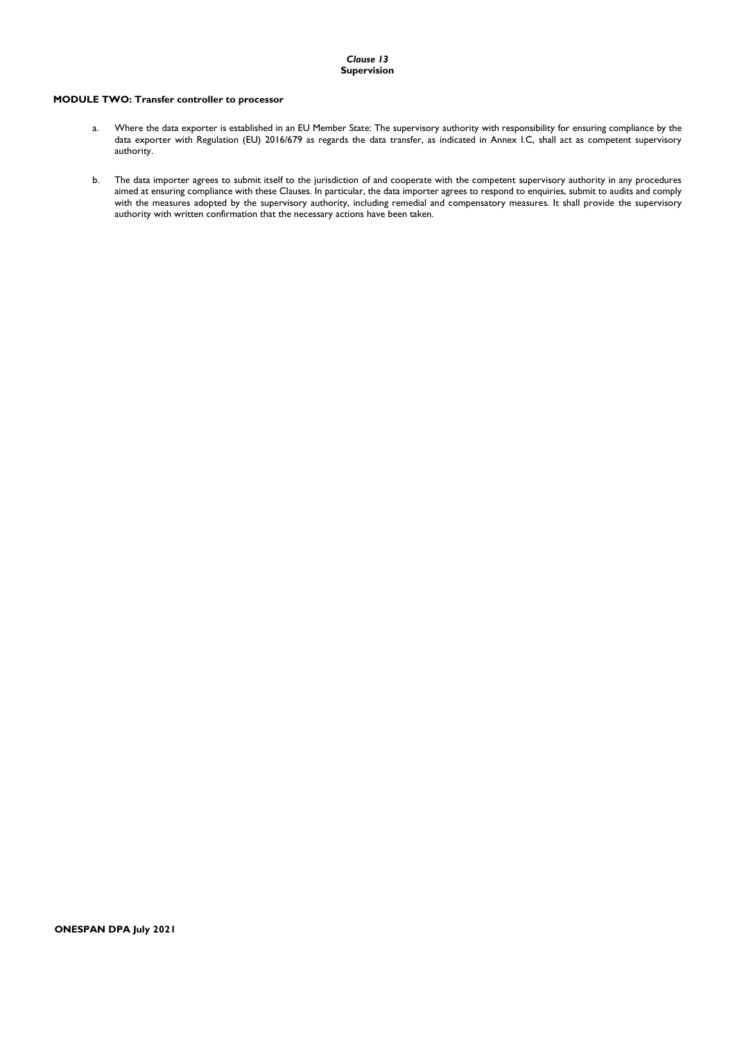## *Clause 13* **Supervision**

## **MODULE TWO: Transfer controller to processor**

- a. Where the data exporter is established in an EU Member State: The supervisory authority with responsibility for ensuring compliance by the data exporter with Regulation (EU) 2016/679 as regards the data transfer, as indicated in Annex I.C, shall act as competent supervisory authority.
- b. The data importer agrees to submit itself to the jurisdiction of and cooperate with the competent supervisory authority in any procedures aimed at ensuring compliance with these Clauses. In particular, the data importer agrees to respond to enquiries, submit to audits and comply with the measures adopted by the supervisory authority, including remedial and compensatory measures. It shall provide the supervisory authority with written confirmation that the necessary actions have been taken.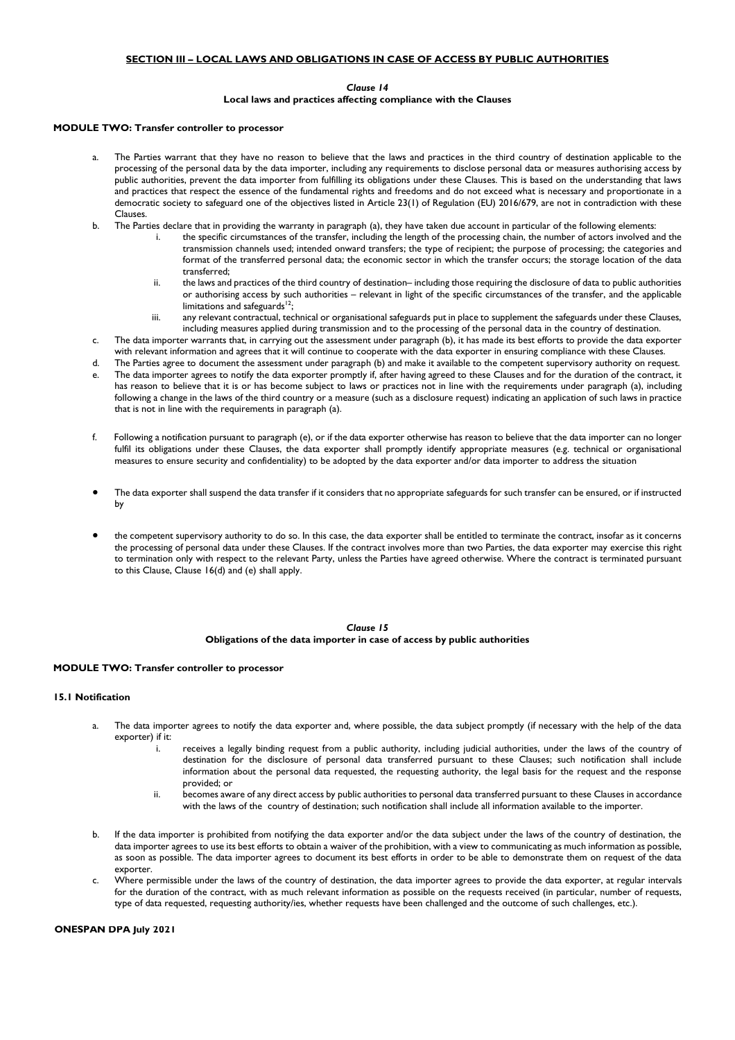## **SECTION III – LOCAL LAWS AND OBLIGATIONS IN CASE OF ACCESS BY PUBLIC AUTHORITIES**

*Clause 14*

## **Local laws and practices affecting compliance with the Clauses**

#### **MODULE TWO: Transfer controller to processor**

- a. The Parties warrant that they have no reason to believe that the laws and practices in the third country of destination applicable to the processing of the personal data by the data importer, including any requirements to disclose personal data or measures authorising access by public authorities, prevent the data importer from fulfilling its obligations under these Clauses. This is based on the understanding that laws and practices that respect the essence of the fundamental rights and freedoms and do not exceed what is necessary and proportionate in a democratic society to safeguard one of the objectives listed in Article 23(1) of Regulation (EU) 2016/679, are not in contradiction with these Clauses.
- b. The Parties declare that in providing the warranty in paragraph (a), they have taken due account in particular of the following elements:
	- i. the specific circumstances of the transfer, including the length of the processing chain, the number of actors involved and the transmission channels used; intended onward transfers; the type of recipient; the purpose of processing; the categories and format of the transferred personal data; the economic sector in which the transfer occurs; the storage location of the data transferred;
	- ii. the laws and practices of the third country of destination– including those requiring the disclosure of data to public authorities or authorising access by such authorities – relevant in light of the specific circumstances of the transfer, and the applicable limitations and safeguards $12$ ;
	- iii. any relevant contractual, technical or organisational safeguards put in place to supplement the safeguards under these Clauses, including measures applied during transmission and to the processing of the personal data in the country of destination.
- c. The data importer warrants that, in carrying out the assessment under paragraph (b), it has made its best efforts to provide the data exporter with relevant information and agrees that it will continue to cooperate with the data exporter in ensuring compliance with these Clauses.
- d. The Parties agree to document the assessment under paragraph (b) and make it available to the competent supervisory authority on request. e. The data importer agrees to notify the data exporter promptly if, after having agreed to these Clauses and for the duration of the contract, it
- has reason to believe that it is or has become subject to laws or practices not in line with the requirements under paragraph (a), including following a change in the laws of the third country or a measure (such as a disclosure request) indicating an application of such laws in practice that is not in line with the requirements in paragraph (a).
- f. Following a notification pursuant to paragraph (e), or if the data exporter otherwise has reason to believe that the data importer can no longer fulfil its obligations under these Clauses, the data exporter shall promptly identify appropriate measures (e.g. technical or organisational measures to ensure security and confidentiality) to be adopted by the data exporter and/or data importer to address the situation
- The data exporter shall suspend the data transfer if it considers that no appropriate safeguards for such transfer can be ensured, or if instructed by
- the competent supervisory authority to do so. In this case, the data exporter shall be entitled to terminate the contract, insofar as it concerns the processing of personal data under these Clauses. If the contract involves more than two Parties, the data exporter may exercise this right to termination only with respect to the relevant Party, unless the Parties have agreed otherwise. Where the contract is terminated pursuant to this Clause, Clause 16(d) and (e) shall apply.

#### *Clause 15*

## **Obligations of the data importer in case of access by public authorities**

#### **MODULE TWO: Transfer controller to processor**

## **15.1 Notification**

- a. The data importer agrees to notify the data exporter and, where possible, the data subject promptly (if necessary with the help of the data exporter) if it:
	- i. receives a legally binding request from a public authority, including judicial authorities, under the laws of the country of destination for the disclosure of personal data transferred pursuant to these Clauses; such notification shall include information about the personal data requested, the requesting authority, the legal basis for the request and the response provided; or
	- ii. becomes aware of any direct access by public authorities to personal data transferred pursuant to these Clauses in accordance with the laws of the country of destination; such notification shall include all information available to the importer.
- b. If the data importer is prohibited from notifying the data exporter and/or the data subject under the laws of the country of destination, the data importer agrees to use its best efforts to obtain a waiver of the prohibition, with a view to communicating as much information as possible, as soon as possible. The data importer agrees to document its best efforts in order to be able to demonstrate them on request of the data exporter.
- c. Where permissible under the laws of the country of destination, the data importer agrees to provide the data exporter, at regular intervals for the duration of the contract, with as much relevant information as possible on the requests received (in particular, number of requests, type of data requested, requesting authority/ies, whether requests have been challenged and the outcome of such challenges, etc.).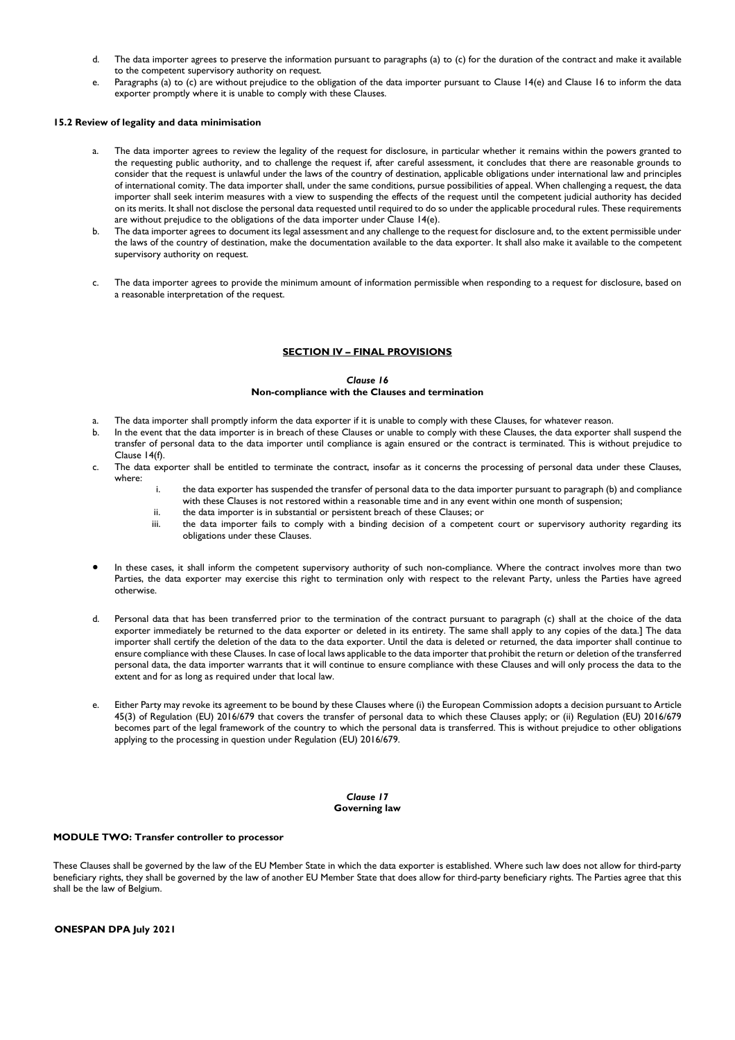- The data importer agrees to preserve the information pursuant to paragraphs (a) to (c) for the duration of the contract and make it available to the competent supervisory authority on request.
- e. Paragraphs (a) to (c) are without prejudice to the obligation of the data importer pursuant to Clause 14(e) and Clause 16 to inform the data exporter promptly where it is unable to comply with these Clauses.

#### **15.2 Review of legality and data minimisation**

- The data importer agrees to review the legality of the request for disclosure, in particular whether it remains within the powers granted to the requesting public authority, and to challenge the request if, after careful assessment, it concludes that there are reasonable grounds to consider that the request is unlawful under the laws of the country of destination, applicable obligations under international law and principles of international comity. The data importer shall, under the same conditions, pursue possibilities of appeal. When challenging a request, the data importer shall seek interim measures with a view to suspending the effects of the request until the competent judicial authority has decided on its merits. It shall not disclose the personal data requested until required to do so under the applicable procedural rules. These requirements are without prejudice to the obligations of the data importer under Clause 14(e).
- b. The data importer agrees to document its legal assessment and any challenge to the request for disclosure and, to the extent permissible under the laws of the country of destination, make the documentation available to the data exporter. It shall also make it available to the competent supervisory authority on request.
- c. The data importer agrees to provide the minimum amount of information permissible when responding to a request for disclosure, based on a reasonable interpretation of the request.

## **SECTION IV – FINAL PROVISIONS**

#### *Clause 16* **Non-compliance with the Clauses and termination**

- a. The data importer shall promptly inform the data exporter if it is unable to comply with these Clauses, for whatever reason.
- b. In the event that the data importer is in breach of these Clauses or unable to comply with these Clauses, the data exporter shall suspend the transfer of personal data to the data importer until compliance is again ensured or the contract is terminated. This is without prejudice to Clause 14(f).
- c. The data exporter shall be entitled to terminate the contract, insofar as it concerns the processing of personal data under these Clauses, where:
	- i. the data exporter has suspended the transfer of personal data to the data importer pursuant to paragraph (b) and compliance with these Clauses is not restored within a reasonable time and in any event within one month of suspension;
	- ii. the data importer is in substantial or persistent breach of these Clauses; or
	- iii. the data importer fails to comply with a binding decision of a competent court or supervisory authority regarding its obligations under these Clauses.
- In these cases, it shall inform the competent supervisory authority of such non-compliance. Where the contract involves more than two Parties, the data exporter may exercise this right to termination only with respect to the relevant Party, unless the Parties have agreed otherwise.
- d. Personal data that has been transferred prior to the termination of the contract pursuant to paragraph (c) shall at the choice of the data exporter immediately be returned to the data exporter or deleted in its entirety. The same shall apply to any copies of the data.] The data importer shall certify the deletion of the data to the data exporter. Until the data is deleted or returned, the data importer shall continue to ensure compliance with these Clauses. In case of local laws applicable to the data importer that prohibit the return or deletion of the transferred personal data, the data importer warrants that it will continue to ensure compliance with these Clauses and will only process the data to the extent and for as long as required under that local law.
- Either Party may revoke its agreement to be bound by these Clauses where (i) the European Commission adopts a decision pursuant to Article 45(3) of Regulation (EU) 2016/679 that covers the transfer of personal data to which these Clauses apply; or (ii) Regulation (EU) 2016/679 becomes part of the legal framework of the country to which the personal data is transferred. This is without prejudice to other obligations applying to the processing in question under Regulation (EU) 2016/679.

#### *Clause 17* **Governing law**

#### **MODULE TWO: Transfer controller to processor**

These Clauses shall be governed by the law of the EU Member State in which the data exporter is established. Where such law does not allow for third-party beneficiary rights, they shall be governed by the law of another EU Member State that does allow for third-party beneficiary rights. The Parties agree that this shall be the law of Belgium.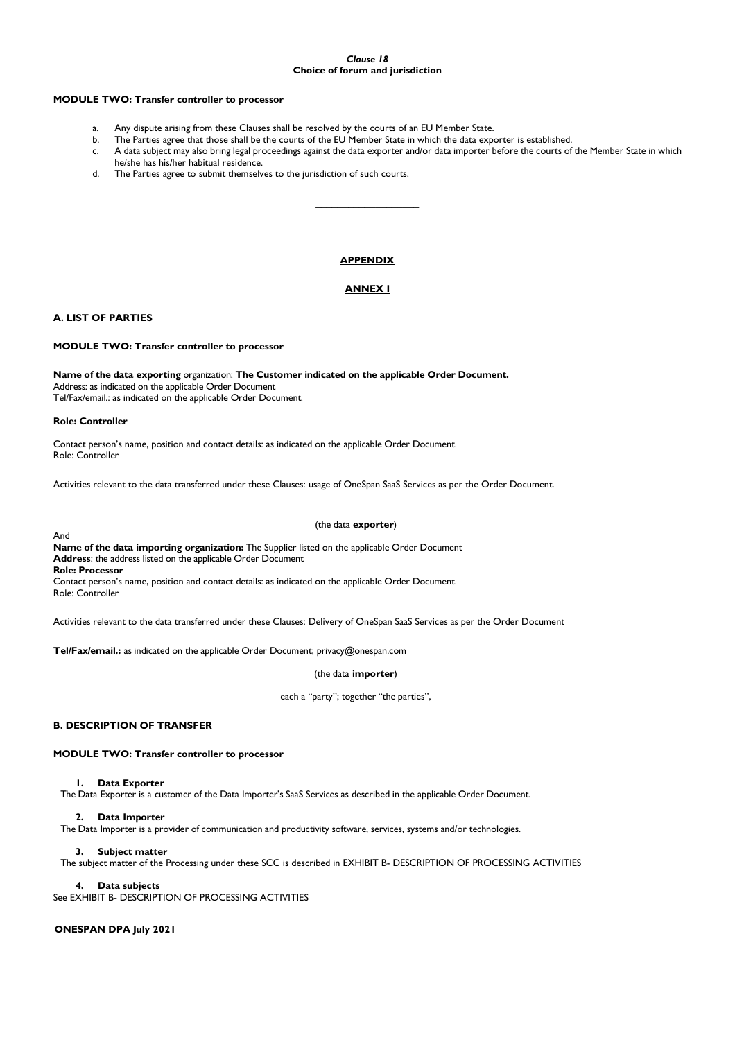## *Clause 18* **Choice of forum and jurisdiction**

#### **MODULE TWO: Transfer controller to processor**

- a. Any dispute arising from these Clauses shall be resolved by the courts of an EU Member State.
- The Parties agree that those shall be the courts of the EU Member State in which the data exporter is established.
- c. A data subject may also bring legal proceedings against the data exporter and/or data importer before the courts of the Member State in which he/she has his/her habitual residence.
- d. The Parties agree to submit themselves to the jurisdiction of such courts.

## **APPENDIX**

 $\_$ 

## **ANNEX I**

## **A. LIST OF PARTIES**

## **MODULE TWO: Transfer controller to processor**

**Name of the data exporting** organization: **The Customer indicated on the applicable Order Document.** Address: as indicated on the applicable Order Document Tel/Fax/email.: as indicated on the applicable Order Document.

#### **Role: Controller**

Contact person's name, position and contact details: as indicated on the applicable Order Document. Role: Controller

Activities relevant to the data transferred under these Clauses: usage of OneSpan SaaS Services as per the Order Document.

#### And

#### (the data **exporter**)

**Name of the data importing organization:** The Supplier listed on the applicable Order Document **Address**: the address listed on the applicable Order Document **Role: Processor**

Contact person's name, position and contact details: as indicated on the applicable Order Document. Role: Controller

Activities relevant to the data transferred under these Clauses: Delivery of OneSpan SaaS Services as per the Order Document

**Tel/Fax/email.:** as indicated on the applicable Order Document[; privacy@onespan.com](mailto:privacy@onespan.com)

(the data **importer**)

each a "party"; together "the parties",

## **B. DESCRIPTION OF TRANSFER**

#### **MODULE TWO: Transfer controller to processor**

#### **1. Data Exporter**

The Data Exporter is a customer of the Data Importer's SaaS Services as described in the applicable Order Document.

## **2. Data Importer**

The Data Importer is a provider of communication and productivity software, services, systems and/or technologies.

#### **3. Subject matter**

The subject matter of the Processing under these SCC is described in EXHIBIT B- DESCRIPTION OF PROCESSING ACTIVITIES

#### **4. Data subjects**

See EXHIBIT B- DESCRIPTION OF PROCESSING ACTIVITIES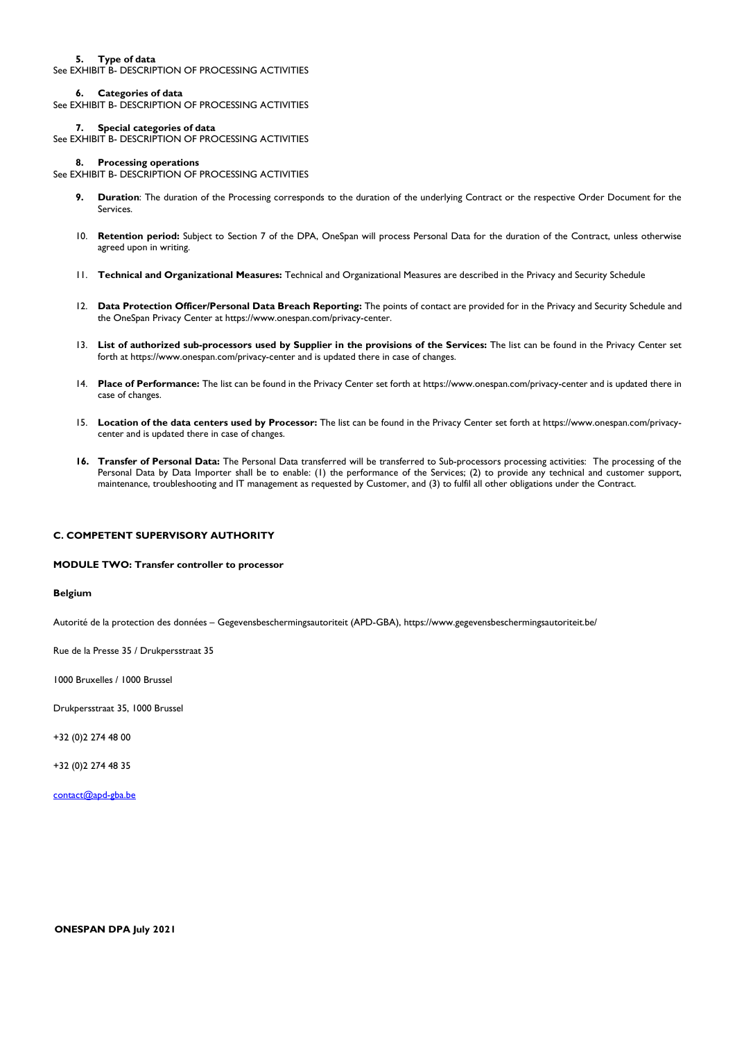## **5. Type of data**

See EXHIBIT B- DESCRIPTION OF PROCESSING ACTIVITIES

#### **6. Categories of data**

See EXHIBIT B- DESCRIPTION OF PROCESSING ACTIVITIES

# **7. Special categories of data**

See EXHIBIT B- DESCRIPTION OF PROCESSING ACTIVITIES

#### **8. Processing operations**

See EXHIBIT B- DESCRIPTION OF PROCESSING ACTIVITIES

- **9. Duration**: The duration of the Processing corresponds to the duration of the underlying Contract or the respective Order Document for the Services.
- 10. **Retention period:** Subject to Section 7 of the DPA, OneSpan will process Personal Data for the duration of the Contract, unless otherwise agreed upon in writing.
- 11. **Technical and Organizational Measures:** Technical and Organizational Measures are described in the Privacy and Security Schedule
- 12. **Data Protection Officer/Personal Data Breach Reporting:** The points of contact are provided for in the Privacy and Security Schedule and the OneSpan Privacy Center at https://www.onespan.com/privacy-center.
- 13. **List of authorized sub-processors used by Supplier in the provisions of the Services:** The list can be found in the Privacy Center set forth at https://www.onespan.com/privacy-center and is updated there in case of changes.
- 14. **Place of Performance:** The list can be found in the Privacy Center set forth at https://www.onespan.com/privacy-center and is updated there in case of changes.
- 15. **Location of the data centers used by Processor:** The list can be found in the Privacy Center set forth at https://www.onespan.com/privacycenter and is updated there in case of changes.
- **16. Transfer of Personal Data:** The Personal Data transferred will be transferred to Sub-processors processing activities: The processing of the Personal Data by Data Importer shall be to enable: (1) the performance of the Services; (2) to provide any technical and customer support, maintenance, troubleshooting and IT management as requested by Customer, and (3) to fulfil all other obligations under the Contract.

## **C. COMPETENT SUPERVISORY AUTHORITY**

**MODULE TWO: Transfer controller to processor**

## **Belgium**

Autorité de la protection des données – Gegevensbeschermingsautoriteit (APD-GBA), https://www.gegevensbeschermingsautoriteit.be/

Rue de la Presse 35 / Drukpersstraat 35

1000 Bruxelles / 1000 Brussel

Drukpersstraat 35, 1000 Brussel

+32 (0)2 274 48 00

+32 (0)2 274 48 35

[contact@apd-gba.be](mailto:contact@apd-gba.be)